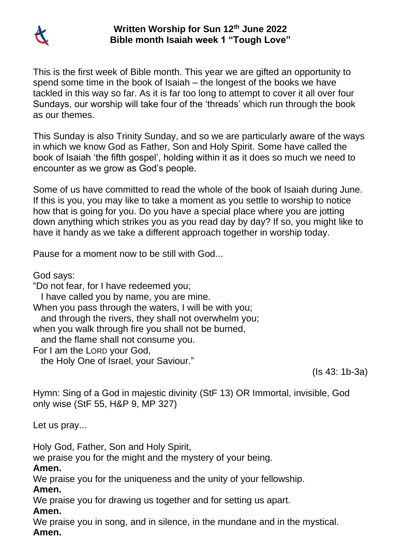

## **Written Worship for Sun 12th June 2022 Bible month Isaiah week 1 "Tough Love"**

This is the first week of Bible month. This year we are gifted an opportunity to spend some time in the book of Isaiah – the longest of the books we have tackled in this way so far. As it is far too long to attempt to cover it all over four Sundays, our worship will take four of the 'threads' which run through the book as our themes.

This Sunday is also Trinity Sunday, and so we are particularly aware of the ways in which we know God as Father, Son and Holy Spirit. Some have called the book of Isaiah 'the fifth gospel', holding within it as it does so much we need to encounter as we grow as God's people.

Some of us have committed to read the whole of the book of Isaiah during June. If this is you, you may like to take a moment as you settle to worship to notice how that is going for you. Do you have a special place where you are jotting down anything which strikes you as you read day by day? If so, you might like to have it handy as we take a different approach together in worship today.

Pause for a moment now to be still with God...

God says: "Do not fear, for I have redeemed you; I have called you by name, you are mine. When you pass through the waters, I will be with you; and through the rivers, they shall not overwhelm you; when you walk through fire you shall not be burned, and the flame shall not consume you. For I am the LORD your God, the Holy One of Israel, your Saviour."

(Is 43: 1b-3a)

Hymn: Sing of a God in majestic divinity (StF 13) OR Immortal, invisible, God only wise (StF 55, H&P 9, MP 327)

Let us pray...

Holy God, Father, Son and Holy Spirit,

we praise you for the might and the mystery of your being.

**Amen.**

We praise you for the uniqueness and the unity of your fellowship. **Amen.**

We praise you for drawing us together and for setting us apart.

**Amen.**

We praise you in song, and in silence, in the mundane and in the mystical. **Amen.**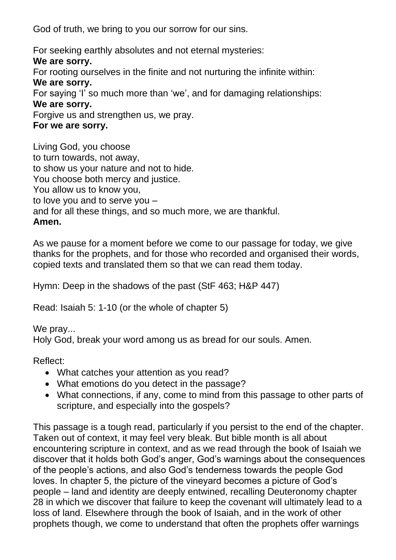God of truth, we bring to you our sorrow for our sins.

For seeking earthly absolutes and not eternal mysteries: **We are sorry.** For rooting ourselves in the finite and not nurturing the infinite within: **We are sorry.** For saying 'I' so much more than 'we', and for damaging relationships: **We are sorry.** Forgive us and strengthen us, we pray. **For we are sorry.**

Living God, you choose to turn towards, not away, to show us your nature and not to hide. You choose both mercy and justice. You allow us to know you, to love you and to serve you – and for all these things, and so much more, we are thankful. **Amen.**

As we pause for a moment before we come to our passage for today, we give thanks for the prophets, and for those who recorded and organised their words, copied texts and translated them so that we can read them today.

Hymn: Deep in the shadows of the past (StF 463; H&P 447)

Read: Isaiah 5: 1-10 (or the whole of chapter 5)

We pray... Holy God, break your word among us as bread for our souls. Amen.

Reflect:

- What catches your attention as you read?
- What emotions do you detect in the passage?
- What connections, if any, come to mind from this passage to other parts of scripture, and especially into the gospels?

This passage is a tough read, particularly if you persist to the end of the chapter. Taken out of context, it may feel very bleak. But bible month is all about encountering scripture in context, and as we read through the book of Isaiah we discover that it holds both God's anger, God's warnings about the consequences of the people's actions, and also God's tenderness towards the people God loves. In chapter 5, the picture of the vineyard becomes a picture of God's people – land and identity are deeply entwined, recalling Deuteronomy chapter 28 in which we discover that failure to keep the covenant will ultimately lead to a loss of land. Elsewhere through the book of Isaiah, and in the work of other prophets though, we come to understand that often the prophets offer warnings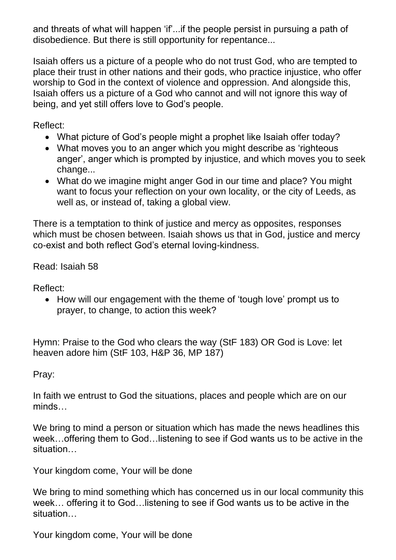and threats of what will happen 'if'...if the people persist in pursuing a path of disobedience. But there is still opportunity for repentance...

Isaiah offers us a picture of a people who do not trust God, who are tempted to place their trust in other nations and their gods, who practice injustice, who offer worship to God in the context of violence and oppression. And alongside this, Isaiah offers us a picture of a God who cannot and will not ignore this way of being, and yet still offers love to God's people.

Reflect:

- What picture of God's people might a prophet like Isaiah offer today?
- What moves you to an anger which you might describe as 'righteous anger', anger which is prompted by injustice, and which moves you to seek change...
- What do we imagine might anger God in our time and place? You might want to focus your reflection on your own locality, or the city of Leeds, as well as, or instead of, taking a global view.

There is a temptation to think of justice and mercy as opposites, responses which must be chosen between. Isaiah shows us that in God, justice and mercy co-exist and both reflect God's eternal loving-kindness.

Read: Isaiah 58

Reflect:

• How will our engagement with the theme of 'tough love' prompt us to prayer, to change, to action this week?

Hymn: Praise to the God who clears the way (StF 183) OR God is Love: let heaven adore him (StF 103, H&P 36, MP 187)

Pray:

In faith we entrust to God the situations, places and people which are on our minds…

We bring to mind a person or situation which has made the news headlines this week…offering them to God…listening to see if God wants us to be active in the situation…

Your kingdom come, Your will be done

We bring to mind something which has concerned us in our local community this week… offering it to God…listening to see if God wants us to be active in the situation…

Your kingdom come, Your will be done